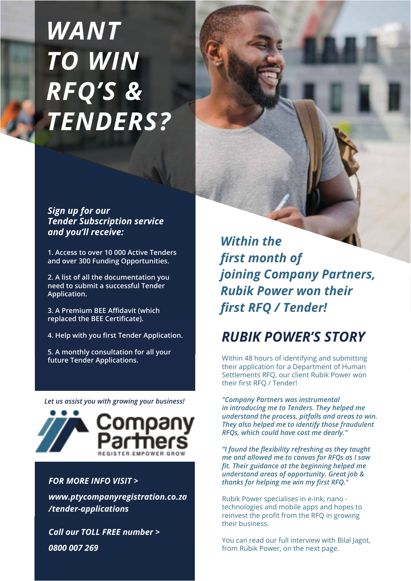# *WANT TO WIN RFQ'S & TENDERS?*

#### *Sign up for our Tender Subscription service and you'll receive:*

**1. Access to over 10 000 Active Tenders and over 300 Funding Opportunities.**

**2. A list of all the documentation you need to submit a successful Tender Application.**

**3. A Premium BEE Affidavit (which replaced the BEE Certificate).**

**4. Help with you first Tender Application.**

**5. A monthly consultation for all your future Tender Applications.**

*Let us assist you with growing your business!*



#### *FOR MORE INFO VISIT >*

*www.ptycompanyregistration.co.za /tender-applications*

*Call our TOLL FREE number > 0800 007 269*

*Within the first month of joining Company Partners, Rubik Power won their first RFQ / Tender!*

# *RUBIK POWER'S STORY*

Within 48 hours of identifying and submitting their application for a Department of Human Settlements RFQ, our client Rubik Power won their first RFQ / Tender!

*"Company Partners was instrumental in introducing me to Tenders. They helped me understand the process, pitfalls and areas to win. They also helped me to identify those fraudulent RFQs, which could have cost me dearly."*

*"I found the flexibility refreshing as they taught me and allowed me to canvas for RFQs as I saw fit. Their guidance at the beginning helped me understand areas of opportunity. Great job & thanks for helping me win my first RFQ."*

Rubik Power specialises in e-ink, nano technologies and mobile apps and hopes to reinvest the profit from the RFQ in growing their business.

You can read our full interview with Bilal Jagot, from Rubik Power, on the next page.